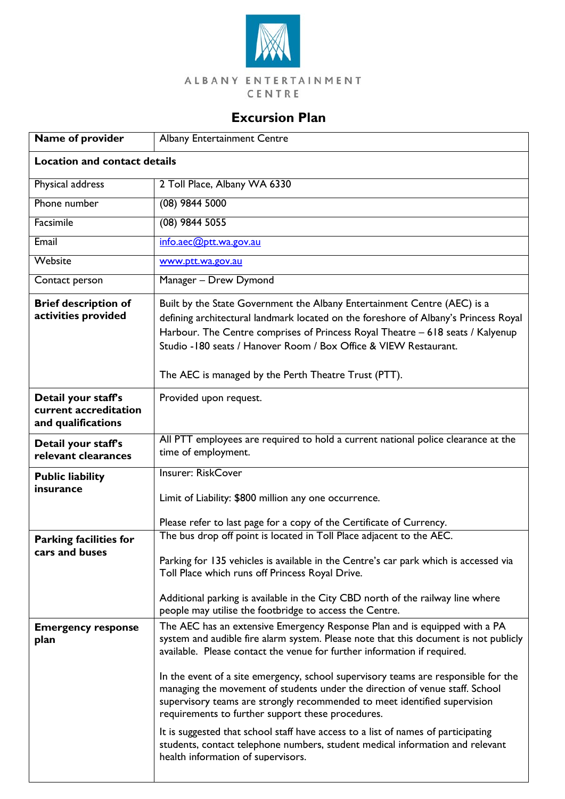

## ALBANY ENTERTAINMENT CENTRE

## **Excursion Plan**

| Name of provider                                                   | <b>Albany Entertainment Centre</b>                                                                                                                                                                                                                                                                                                                                                                                                                                                                                                                     |  |
|--------------------------------------------------------------------|--------------------------------------------------------------------------------------------------------------------------------------------------------------------------------------------------------------------------------------------------------------------------------------------------------------------------------------------------------------------------------------------------------------------------------------------------------------------------------------------------------------------------------------------------------|--|
| <b>Location and contact details</b>                                |                                                                                                                                                                                                                                                                                                                                                                                                                                                                                                                                                        |  |
| Physical address                                                   | 2 Toll Place, Albany WA 6330                                                                                                                                                                                                                                                                                                                                                                                                                                                                                                                           |  |
| Phone number                                                       | $(08)$ 9844 5000                                                                                                                                                                                                                                                                                                                                                                                                                                                                                                                                       |  |
| Facsimile                                                          | $(08)$ 9844 5055                                                                                                                                                                                                                                                                                                                                                                                                                                                                                                                                       |  |
| Email                                                              | info.aec@ptt.wa.gov.au                                                                                                                                                                                                                                                                                                                                                                                                                                                                                                                                 |  |
| Website                                                            | www.ptt.wa.gov.au                                                                                                                                                                                                                                                                                                                                                                                                                                                                                                                                      |  |
| Contact person                                                     | Manager - Drew Dymond                                                                                                                                                                                                                                                                                                                                                                                                                                                                                                                                  |  |
| <b>Brief description of</b><br>activities provided                 | Built by the State Government the Albany Entertainment Centre (AEC) is a<br>defining architectural landmark located on the foreshore of Albany's Princess Royal<br>Harbour. The Centre comprises of Princess Royal Theatre - 618 seats / Kalyenup<br>Studio - 180 seats / Hanover Room / Box Office & VIEW Restaurant.<br>The AEC is managed by the Perth Theatre Trust (PTT).                                                                                                                                                                         |  |
| Detail your staff's<br>current accreditation<br>and qualifications | Provided upon request.                                                                                                                                                                                                                                                                                                                                                                                                                                                                                                                                 |  |
| Detail your staff's<br>relevant clearances                         | All PTT employees are required to hold a current national police clearance at the<br>time of employment.                                                                                                                                                                                                                                                                                                                                                                                                                                               |  |
| <b>Public liability</b><br>insurance                               | <b>Insurer: RiskCover</b><br>Limit of Liability: \$800 million any one occurrence.<br>Please refer to last page for a copy of the Certificate of Currency.                                                                                                                                                                                                                                                                                                                                                                                             |  |
|                                                                    | The bus drop off point is located in Toll Place adjacent to the AEC.                                                                                                                                                                                                                                                                                                                                                                                                                                                                                   |  |
| <b>Parking facilities for</b><br>cars and buses                    | Parking for 135 vehicles is available in the Centre's car park which is accessed via<br>Toll Place which runs off Princess Royal Drive.<br>Additional parking is available in the City CBD north of the railway line where                                                                                                                                                                                                                                                                                                                             |  |
|                                                                    | people may utilise the footbridge to access the Centre.                                                                                                                                                                                                                                                                                                                                                                                                                                                                                                |  |
| <b>Emergency response</b><br>plan                                  | The AEC has an extensive Emergency Response Plan and is equipped with a PA<br>system and audible fire alarm system. Please note that this document is not publicly<br>available. Please contact the venue for further information if required.<br>In the event of a site emergency, school supervisory teams are responsible for the<br>managing the movement of students under the direction of venue staff. School<br>supervisory teams are strongly recommended to meet identified supervision<br>requirements to further support these procedures. |  |
|                                                                    | It is suggested that school staff have access to a list of names of participating<br>students, contact telephone numbers, student medical information and relevant<br>health information of supervisors.                                                                                                                                                                                                                                                                                                                                               |  |